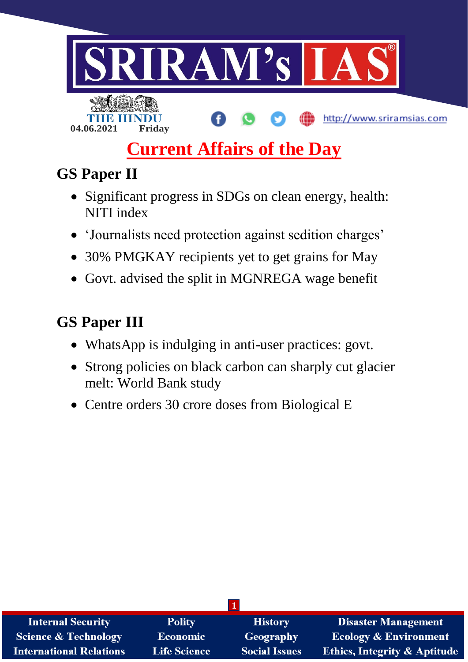

# **Current Affairs of the Day**

## **GS Paper II**

- Significant progress in SDGs on clean energy, health: NITI index
- 'Journalists need protection against sedition charges'
- 30% PMGKAY recipients yet to get grains for May
- Govt. advised the split in MGNREGA wage benefit

### **GS Paper III**

- WhatsApp is indulging in anti-user practices: govt.
- Strong policies on black carbon can sharply cut glacier melt: World Bank study
- Centre orders 30 crore doses from Biological E

| <b>Internal Security</b>        | <b>Polity</b>       | <b>History</b>       | <b>Disaster Management</b>              |
|---------------------------------|---------------------|----------------------|-----------------------------------------|
| <b>Science &amp; Technology</b> | <b>Economic</b>     | Geography            | <b>Ecology &amp; Environment</b>        |
| <b>International Relations</b>  | <b>Life Science</b> | <b>Social Issues</b> | <b>Ethics, Integrity &amp; Aptitude</b> |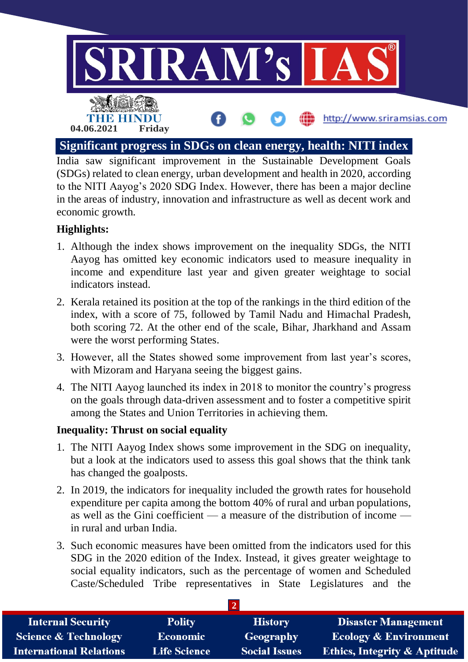

India saw significant improvement in the Sustainable Development Goals (SDGs) related to clean energy, urban development and health in 2020, according to the NITI Aayog's 2020 SDG Index. However, there has been a major decline in the areas of industry, innovation and infrastructure as well as decent work and economic growth.

#### **Highlights:**

- 1. Although the index shows improvement on the inequality SDGs, the NITI Aayog has omitted key economic indicators used to measure inequality in income and expenditure last year and given greater weightage to social indicators instead.
- 2. Kerala retained its position at the top of the rankings in the third edition of the index, with a score of 75, followed by Tamil Nadu and Himachal Pradesh, both scoring 72. At the other end of the scale, Bihar, Jharkhand and Assam were the worst performing States.
- 3. However, all the States showed some improvement from last year's scores, with Mizoram and Haryana seeing the biggest gains.
- 4. The NITI Aayog launched its index in 2018 to monitor the country's progress on the goals through data-driven assessment and to foster a competitive spirit among the States and Union Territories in achieving them.

#### **Inequality: Thrust on social equality**

- 1. The NITI Aayog Index shows some improvement in the SDG on inequality, but a look at the indicators used to assess this goal shows that the think tank has changed the goalposts.
- 2. In 2019, the indicators for inequality included the growth rates for household expenditure per capita among the bottom 40% of rural and urban populations, as well as the Gini coefficient — a measure of the distribution of income in rural and urban India.
- 3. Such economic measures have been omitted from the indicators used for this SDG in the 2020 edition of the Index. Instead, it gives greater weightage to social equality indicators, such as the percentage of women and Scheduled Caste/Scheduled Tribe representatives in State Legislatures and the

| <b>Internal Security</b>        | <b>Polity</b>       | <b>History</b>       | <b>Disaster Management</b>              |  |
|---------------------------------|---------------------|----------------------|-----------------------------------------|--|
| <b>Science &amp; Technology</b> | <b>Economic</b>     | Geography            | <b>Ecology &amp; Environment</b>        |  |
| <b>International Relations</b>  | <b>Life Science</b> | <b>Social Issues</b> | <b>Ethics, Integrity &amp; Aptitude</b> |  |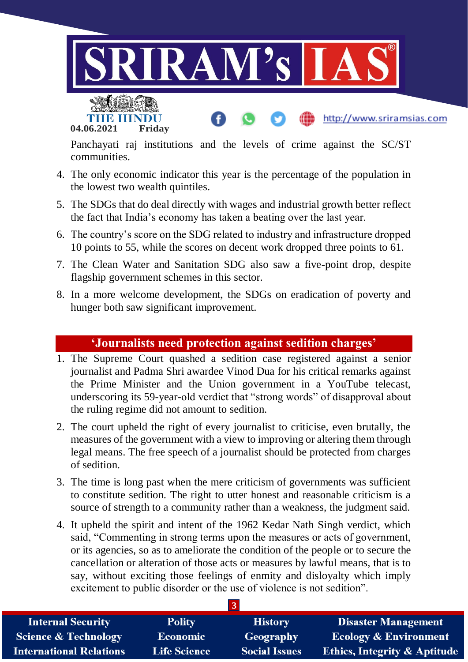



Panchayati raj institutions and the levels of crime against the SC/ST communities.

http://www.sriramsias.com

- 4. The only economic indicator this year is the percentage of the population in the lowest two wealth quintiles.
- 5. The SDGs that do deal directly with wages and industrial growth better reflect the fact that India's economy has taken a beating over the last year.
- 6. The country's score on the SDG related to industry and infrastructure dropped 10 points to 55, while the scores on decent work dropped three points to 61.
- 7. The Clean Water and Sanitation SDG also saw a five-point drop, despite flagship government schemes in this sector.
- 8. In a more welcome development, the SDGs on eradication of poverty and hunger both saw significant improvement.

#### **'Journalists need protection against sedition charges'**

- 1. The Supreme Court quashed a sedition case registered against a senior journalist and Padma Shri awardee Vinod Dua for his critical remarks against the Prime Minister and the Union government in a YouTube telecast, underscoring its 59-year-old verdict that "strong words" of disapproval about the ruling regime did not amount to sedition.
- 2. The court upheld the right of every journalist to criticise, even brutally, the measures of the government with a view to improving or altering them through legal means. The free speech of a journalist should be protected from charges of sedition.
- 3. The time is long past when the mere criticism of governments was sufficient to constitute sedition. The right to utter honest and reasonable criticism is a source of strength to a community rather than a weakness, the judgment said.
- 4. It upheld the spirit and intent of the 1962 Kedar Nath Singh verdict, which said, "Commenting in strong terms upon the measures or acts of government, or its agencies, so as to ameliorate the condition of the people or to secure the cancellation or alteration of those acts or measures by lawful means, that is to say, without exciting those feelings of enmity and disloyalty which imply excitement to public disorder or the use of violence is not sedition".

| <b>Internal Security</b>        | <b>Polity</b>       | <b>History</b>       | <b>Disaster Management</b>              |
|---------------------------------|---------------------|----------------------|-----------------------------------------|
| <b>Science &amp; Technology</b> | <b>Economic</b>     | Geography            | <b>Ecology &amp; Environment</b>        |
| <b>International Relations</b>  | <b>Life Science</b> | <b>Social Issues</b> | <b>Ethics, Integrity &amp; Aptitude</b> |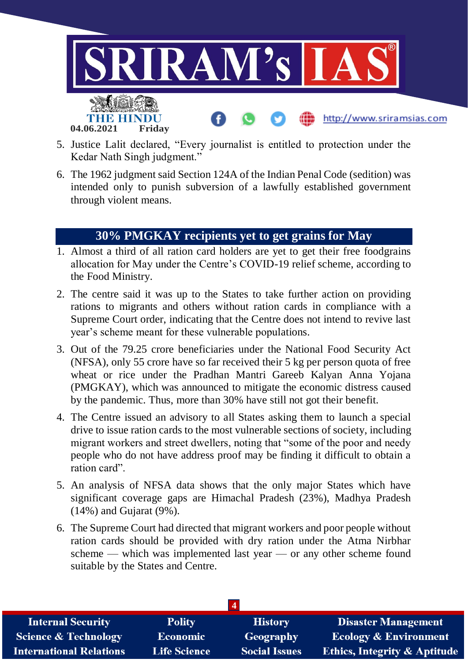

- 5. Justice Lalit declared, "Every journalist is entitled to protection under the Kedar Nath Singh judgment."
- 6. The 1962 judgment said Section 124A of the Indian Penal Code (sedition) was intended only to punish subversion of a lawfully established government through violent means.

#### **30% PMGKAY recipients yet to get grains for May**

- 1. Almost a third of all ration card holders are yet to get their free foodgrains allocation for May under the Centre's COVID-19 relief scheme, according to the Food Ministry.
- 2. The centre said it was up to the States to take further action on providing rations to migrants and others without ration cards in compliance with a Supreme Court order, indicating that the Centre does not intend to revive last year's scheme meant for these vulnerable populations.
- 3. Out of the 79.25 crore beneficiaries under the National Food Security Act (NFSA), only 55 crore have so far received their 5 kg per person quota of free wheat or rice under the Pradhan Mantri Gareeb Kalyan Anna Yojana (PMGKAY), which was announced to mitigate the economic distress caused by the pandemic. Thus, more than 30% have still not got their benefit.
- 4. The Centre issued an advisory to all States asking them to launch a special drive to issue ration cards to the most vulnerable sections of society, including migrant workers and street dwellers, noting that "some of the poor and needy people who do not have address proof may be finding it difficult to obtain a ration card".
- 5. An analysis of NFSA data shows that the only major States which have significant coverage gaps are Himachal Pradesh (23%), Madhya Pradesh (14%) and Gujarat (9%).
- 6. The Supreme Court had directed that migrant workers and poor people without ration cards should be provided with dry ration under the Atma Nirbhar scheme — which was implemented last year — or any other scheme found suitable by the States and Centre.

| <b>Internal Security</b>        | <b>Polity</b>       | <b>History</b>       | Disaster Management                     |  |
|---------------------------------|---------------------|----------------------|-----------------------------------------|--|
| <b>Science &amp; Technology</b> | <b>Economic</b>     | Geography            | <b>Ecology &amp; Environment</b>        |  |
| <b>International Relations</b>  | <b>Life Science</b> | <b>Social Issues</b> | <b>Ethics, Integrity &amp; Aptitude</b> |  |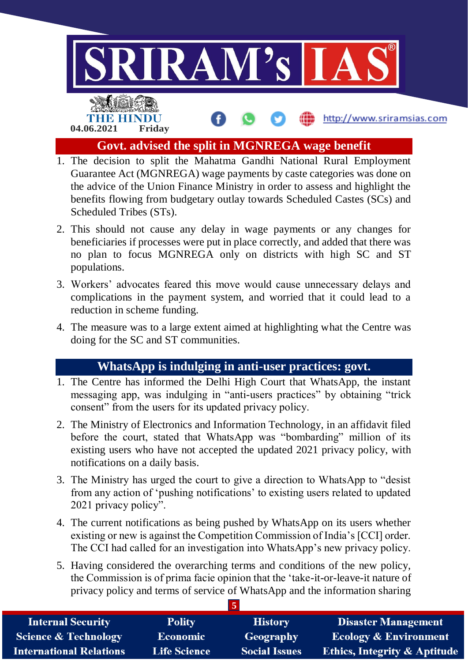

- 1. The decision to split the Mahatma Gandhi National Rural Employment Guarantee Act (MGNREGA) wage payments by caste categories was done on the advice of the Union Finance Ministry in order to assess and highlight the benefits flowing from budgetary outlay towards Scheduled Castes (SCs) and Scheduled Tribes (STs).
- 2. This should not cause any delay in wage payments or any changes for beneficiaries if processes were put in place correctly, and added that there was no plan to focus MGNREGA only on districts with high SC and ST populations.
- 3. Workers' advocates feared this move would cause unnecessary delays and complications in the payment system, and worried that it could lead to a reduction in scheme funding.
- 4. The measure was to a large extent aimed at highlighting what the Centre was doing for the SC and ST communities.

#### **WhatsApp is indulging in anti-user practices: govt.**

- 1. The Centre has informed the Delhi High Court that WhatsApp, the instant messaging app, was indulging in "anti-users practices" by obtaining "trick consent" from the users for its updated privacy policy.
- 2. The Ministry of Electronics and Information Technology, in an affidavit filed before the court, stated that WhatsApp was "bombarding" million of its existing users who have not accepted the updated 2021 privacy policy, with notifications on a daily basis.
- 3. The Ministry has urged the court to give a direction to WhatsApp to "desist from any action of 'pushing notifications' to existing users related to updated 2021 privacy policy".
- 4. The current notifications as being pushed by WhatsApp on its users whether existing or new is against the Competition Commission of India's [CCI] order. The CCI had called for an investigation into WhatsApp's new privacy policy.
- 5. Having considered the overarching terms and conditions of the new policy, the Commission is of prima facie opinion that the 'take-it-or-leave-it nature of privacy policy and terms of service of WhatsApp and the information sharing

| <b>Internal Security</b>        | <b>Polity</b>       | <b>History</b>       | <b>Disaster Management</b>              |
|---------------------------------|---------------------|----------------------|-----------------------------------------|
| <b>Science &amp; Technology</b> | <b>Economic</b>     | Geography            | <b>Ecology &amp; Environment</b>        |
| <b>International Relations</b>  | <b>Life Science</b> | <b>Social Issues</b> | <b>Ethics, Integrity &amp; Aptitude</b> |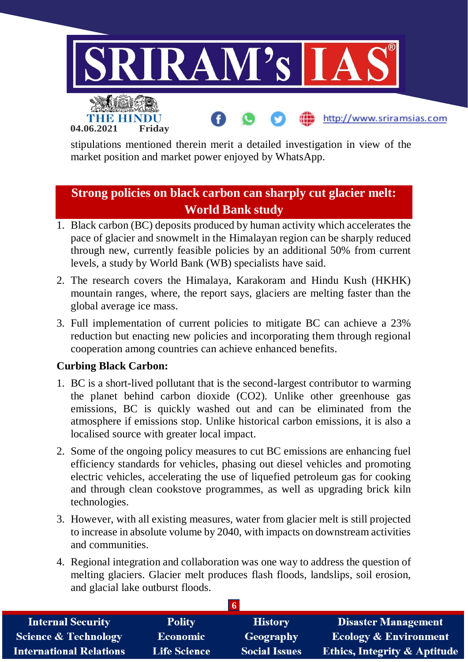

stipulations mentioned therein merit a detailed investigation in view of the market position and market power enjoyed by WhatsApp.

### **Strong policies on black carbon can sharply cut glacier melt: World Bank study**

- 1. Black carbon (BC) deposits produced by human activity which accelerates the pace of glacier and snowmelt in the Himalayan region can be sharply reduced through new, currently feasible policies by an additional 50% from current levels, a study by World Bank (WB) specialists have said.
- 2. The research covers the Himalaya, Karakoram and Hindu Kush (HKHK) mountain ranges, where, the report says, glaciers are melting faster than the global average ice mass.
- 3. Full implementation of current policies to mitigate BC can achieve a 23% reduction but enacting new policies and incorporating them through regional cooperation among countries can achieve enhanced benefits.

#### **Curbing Black Carbon:**

**04.06.2021 Friday**

- 1. BC is a short-lived pollutant that is the second-largest contributor to warming the planet behind carbon dioxide (CO2). Unlike other greenhouse gas emissions, BC is quickly washed out and can be eliminated from the atmosphere if emissions stop. Unlike historical carbon emissions, it is also a localised source with greater local impact.
- 2. Some of the ongoing policy measures to cut BC emissions are enhancing fuel efficiency standards for vehicles, phasing out diesel vehicles and promoting electric vehicles, accelerating the use of liquefied petroleum gas for cooking and through clean cookstove programmes, as well as upgrading brick kiln technologies.
- 3. However, with all existing measures, water from glacier melt is still projected to increase in absolute volume by 2040, with impacts on downstream activities and communities.
- 4. Regional integration and collaboration was one way to address the question of melting glaciers. Glacier melt produces flash floods, landslips, soil erosion, and glacial lake outburst floods.

| <b>Internal Security</b>        | <b>Polity</b>       | <b>History</b>       | <b>Disaster Management</b>              |
|---------------------------------|---------------------|----------------------|-----------------------------------------|
| <b>Science &amp; Technology</b> | <b>Economic</b>     | Geography            | <b>Ecology &amp; Environment</b>        |
| <b>International Relations</b>  | <b>Life Science</b> | <b>Social Issues</b> | <b>Ethics, Integrity &amp; Aptitude</b> |